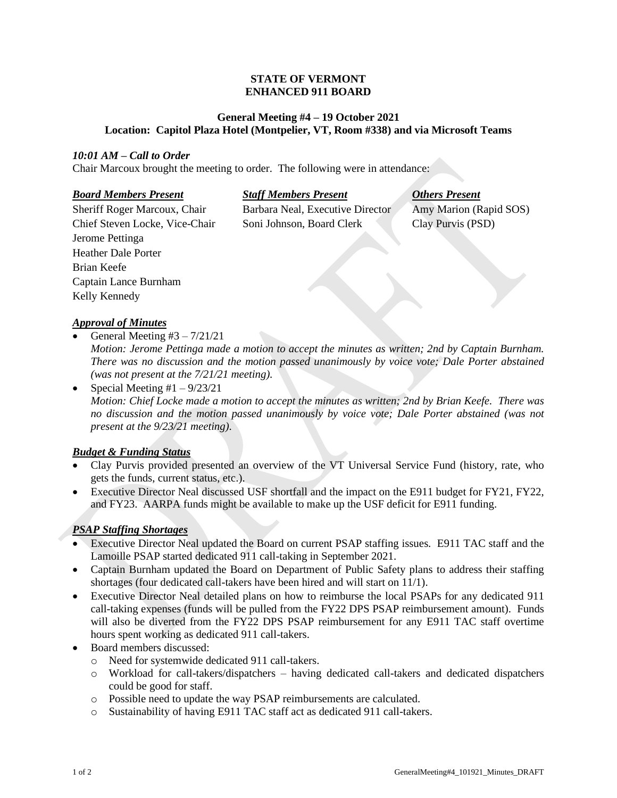## **STATE OF VERMONT ENHANCED 911 BOARD**

## **General Meeting #4 – 19 October 2021 Location: Capitol Plaza Hotel (Montpelier, VT, Room #338) and via Microsoft Teams**

## *10:01 AM – Call to Order*

Chair Marcoux brought the meeting to order. The following were in attendance:

### *Board Members Present Staff Members Present Others Present*

Sheriff Roger Marcoux, Chair Barbara Neal, Executive Director Amy Marion (Rapid SOS) Chief Steven Locke, Vice-Chair Soni Johnson, Board Clerk Clay Purvis (PSD) Jerome Pettinga Heather Dale Porter Brian Keefe Captain Lance Burnham Kelly Kennedy

*Approval of Minutes*

General Meeting  $#3 - 7/21/21$ *Motion: Jerome Pettinga made a motion to accept the minutes as written; 2nd by Captain Burnham. There was no discussion and the motion passed unanimously by voice vote; Dale Porter abstained (was not present at the 7/21/21 meeting).* 

• Special Meeting  $#1 - 9/23/21$ *Motion: Chief Locke made a motion to accept the minutes as written; 2nd by Brian Keefe. There was no discussion and the motion passed unanimously by voice vote; Dale Porter abstained (was not present at the 9/23/21 meeting).* 

# *Budget & Funding Status*

- Clay Purvis provided presented an overview of the VT Universal Service Fund (history, rate, who gets the funds, current status, etc.).
- Executive Director Neal discussed USF shortfall and the impact on the E911 budget for FY21, FY22, and FY23. AARPA funds might be available to make up the USF deficit for E911 funding.

# *PSAP Staffing Shortages*

- Executive Director Neal updated the Board on current PSAP staffing issues. E911 TAC staff and the Lamoille PSAP started dedicated 911 call-taking in September 2021.
- Captain Burnham updated the Board on Department of Public Safety plans to address their staffing shortages (four dedicated call-takers have been hired and will start on 11/1).
- Executive Director Neal detailed plans on how to reimburse the local PSAPs for any dedicated 911 call-taking expenses (funds will be pulled from the FY22 DPS PSAP reimbursement amount). Funds will also be diverted from the FY22 DPS PSAP reimbursement for any E911 TAC staff overtime hours spent working as dedicated 911 call-takers.
- Board members discussed:
	- o Need for systemwide dedicated 911 call-takers.
	- o Workload for call-takers/dispatchers having dedicated call-takers and dedicated dispatchers could be good for staff.
	- o Possible need to update the way PSAP reimbursements are calculated.
	- o Sustainability of having E911 TAC staff act as dedicated 911 call-takers.